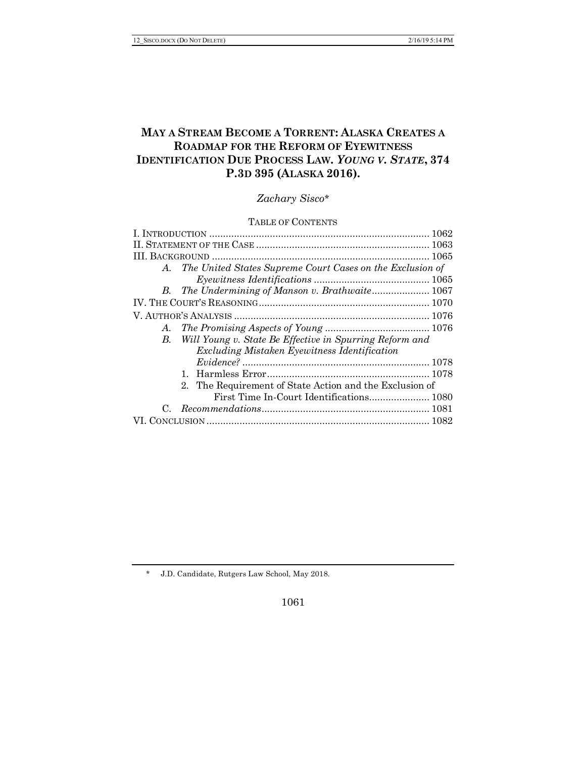# **MAY A STREAM BECOME A TORRENT: ALASKA CREATES A ROADMAP FOR THE REFORM OF EYEWITNESS IDENTIFICATION DUE PROCESS LAW.** *YOUNG V. STATE***, 374 P.3D 395 (ALASKA 2016).**

# *Zachary Sisco*\*

# TABLE OF CONTENTS

|    | A. The United States Supreme Court Cases on the Exclusion of |  |
|----|--------------------------------------------------------------|--|
|    |                                                              |  |
|    | B. The Undermining of Manson v. Brathwaite 1067              |  |
|    |                                                              |  |
|    |                                                              |  |
|    |                                                              |  |
| B. | Will Young v. State Be Effective in Spurring Reform and      |  |
|    | Excluding Mistaken Eyewitness Identification                 |  |
|    |                                                              |  |
|    |                                                              |  |
|    | 2. The Requirement of State Action and the Exclusion of      |  |
|    |                                                              |  |
|    |                                                              |  |
|    |                                                              |  |
|    |                                                              |  |

\* J.D. Candidate, Rutgers Law School, May 2018.

1061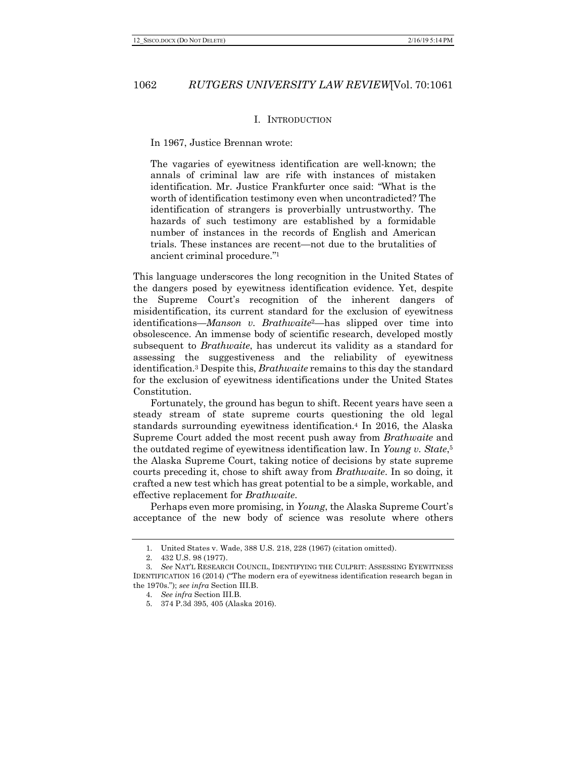#### I. INTRODUCTION

In 1967, Justice Brennan wrote:

The vagaries of eyewitness identification are well-known; the annals of criminal law are rife with instances of mistaken identification. Mr. Justice Frankfurter once said: "What is the worth of identification testimony even when uncontradicted? The identification of strangers is proverbially untrustworthy. The hazards of such testimony are established by a formidable number of instances in the records of English and American trials. These instances are recent—not due to the brutalities of ancient criminal procedure."1

This language underscores the long recognition in the United States of the dangers posed by eyewitness identification evidence. Yet, despite the Supreme Court's recognition of the inherent dangers of misidentification, its current standard for the exclusion of eyewitness identifications—*Manson v. Brathwaite*2—has slipped over time into obsolescence. An immense body of scientific research, developed mostly subsequent to *Brathwaite*, has undercut its validity as a standard for assessing the suggestiveness and the reliability of eyewitness identification.3 Despite this, *Brathwaite* remains to this day the standard for the exclusion of eyewitness identifications under the United States Constitution.

Fortunately, the ground has begun to shift. Recent years have seen a steady stream of state supreme courts questioning the old legal standards surrounding eyewitness identification.4 In 2016, the Alaska Supreme Court added the most recent push away from *Brathwaite* and the outdated regime of eyewitness identification law. In *Young v. State*,5 the Alaska Supreme Court, taking notice of decisions by state supreme courts preceding it, chose to shift away from *Brathwaite*. In so doing, it crafted a new test which has great potential to be a simple, workable, and effective replacement for *Brathwaite*.

Perhaps even more promising, in *Young*, the Alaska Supreme Court's acceptance of the new body of science was resolute where others

<sup>1.</sup> United States v. Wade, 388 U.S. 218, 228 (1967) (citation omitted).

<sup>2.</sup> 432 U.S. 98 (1977).

<sup>3.</sup> *See* NAT'L RESEARCH COUNCIL, IDENTIFYING THE CULPRIT: ASSESSING EYEWITNESS IDENTIFICATION 16 (2014) ("The modern era of eyewitness identification research began in the 1970s."); *see infra* Section III.B.

<sup>4.</sup> *See infra* Section III.B.

<sup>5.</sup> 374 P.3d 395, 405 (Alaska 2016).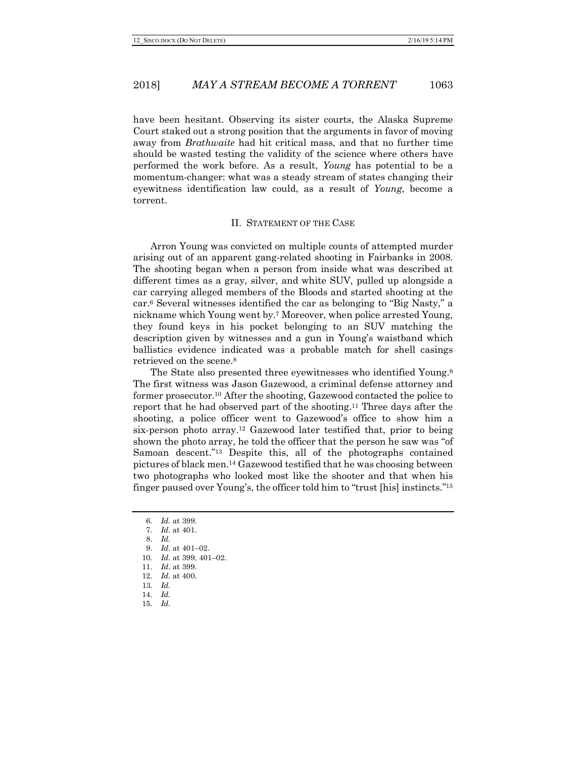have been hesitant. Observing its sister courts, the Alaska Supreme Court staked out a strong position that the arguments in favor of moving away from *Brathwaite* had hit critical mass, and that no further time should be wasted testing the validity of the science where others have performed the work before. As a result, *Young* has potential to be a momentum-changer: what was a steady stream of states changing their eyewitness identification law could, as a result of *Young*, become a torrent.

#### II. STATEMENT OF THE CASE

Arron Young was convicted on multiple counts of attempted murder arising out of an apparent gang-related shooting in Fairbanks in 2008. The shooting began when a person from inside what was described at different times as a gray, silver, and white SUV, pulled up alongside a car carrying alleged members of the Bloods and started shooting at the car.6 Several witnesses identified the car as belonging to "Big Nasty," a nickname which Young went by.7 Moreover, when police arrested Young, they found keys in his pocket belonging to an SUV matching the description given by witnesses and a gun in Young's waistband which ballistics evidence indicated was a probable match for shell casings retrieved on the scene.8

The State also presented three eyewitnesses who identified Young.9 The first witness was Jason Gazewood, a criminal defense attorney and former prosecutor.10 After the shooting, Gazewood contacted the police to report that he had observed part of the shooting.11 Three days after the shooting, a police officer went to Gazewood's office to show him a six-person photo array.12 Gazewood later testified that, prior to being shown the photo array, he told the officer that the person he saw was "of Samoan descent."13 Despite this, all of the photographs contained pictures of black men.14 Gazewood testified that he was choosing between two photographs who looked most like the shooter and that when his finger paused over Young's, the officer told him to "trust [his] instincts."15

- 9. *Id.* at 401–02.
- 10. *Id.* at 399, 401–02.
- 11. *Id.* at 399.
- 12. *Id.* at 400.
- 13. *Id.*
- 14. *Id.*
- 15. *Id.*

<sup>6.</sup> *Id.* at 399.

<sup>7.</sup> *Id.* at 401.

<sup>8.</sup> *Id.*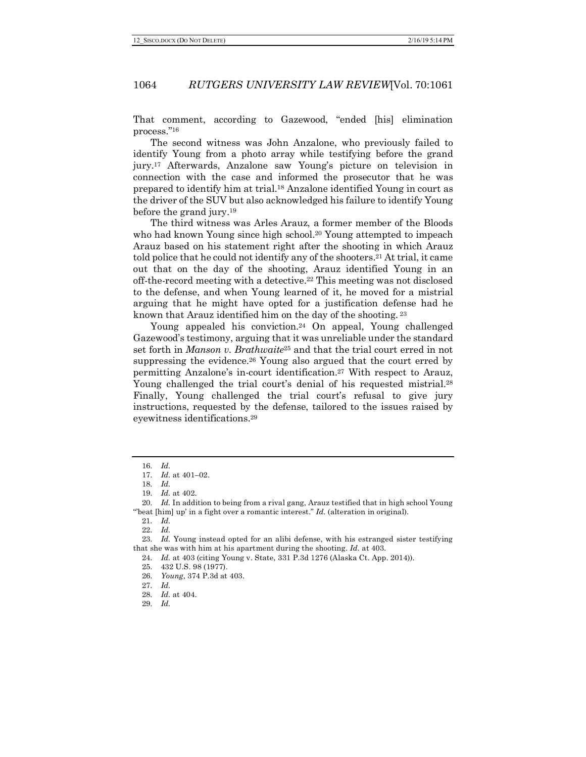That comment, according to Gazewood, "ended [his] elimination process."16

The second witness was John Anzalone, who previously failed to identify Young from a photo array while testifying before the grand jury.17 Afterwards, Anzalone saw Young's picture on television in connection with the case and informed the prosecutor that he was prepared to identify him at trial.18 Anzalone identified Young in court as the driver of the SUV but also acknowledged his failure to identify Young before the grand jury.19

The third witness was Arles Arauz, a former member of the Bloods who had known Young since high school.<sup>20</sup> Young attempted to impeach Arauz based on his statement right after the shooting in which Arauz told police that he could not identify any of the shooters.<sup>21</sup> At trial, it came out that on the day of the shooting, Arauz identified Young in an off-the-record meeting with a detective.22 This meeting was not disclosed to the defense, and when Young learned of it, he moved for a mistrial arguing that he might have opted for a justification defense had he known that Arauz identified him on the day of the shooting. <sup>23</sup>

Young appealed his conviction.24 On appeal, Young challenged Gazewood's testimony, arguing that it was unreliable under the standard set forth in *Manson v. Brathwaite*<sup>25</sup> and that the trial court erred in not suppressing the evidence.<sup>26</sup> Young also argued that the court erred by permitting Anzalone's in-court identification.27 With respect to Arauz, Young challenged the trial court's denial of his requested mistrial.<sup>28</sup> Finally, Young challenged the trial court's refusal to give jury instructions, requested by the defense, tailored to the issues raised by eyewitness identifications.29

<sup>16.</sup> *Id.*

<sup>17.</sup> *Id.* at 401–02.

<sup>18.</sup> *Id.*

<sup>19.</sup> *Id.* at 402.

<sup>20.</sup> *Id.* In addition to being from a rival gang, Arauz testified that in high school Young "'beat [him] up' in a fight over a romantic interest." *Id.* (alteration in original).

<sup>21.</sup> *Id.*

<sup>22.</sup> *Id.*

<sup>23.</sup> *Id.* Young instead opted for an alibi defense, with his estranged sister testifying that she was with him at his apartment during the shooting. *Id.* at 403.

<sup>24.</sup> *Id.* at 403 (citing Young v. State, 331 P.3d 1276 (Alaska Ct. App. 2014)).

<sup>25.</sup> 432 U.S. 98 (1977).

<sup>26.</sup> *Young*, 374 P.3d at 403.

<sup>27.</sup> *Id.*

<sup>28.</sup> *Id.* at 404.

<sup>29.</sup> *Id.*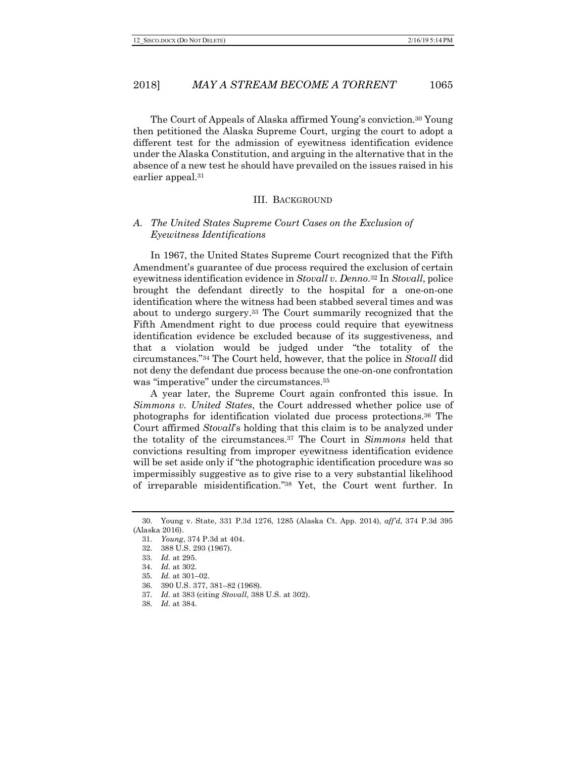The Court of Appeals of Alaska affirmed Young's conviction.30 Young then petitioned the Alaska Supreme Court, urging the court to adopt a different test for the admission of eyewitness identification evidence under the Alaska Constitution, and arguing in the alternative that in the absence of a new test he should have prevailed on the issues raised in his earlier appeal.31

#### III. BACKGROUND

# *A. The United States Supreme Court Cases on the Exclusion of Eyewitness Identifications*

In 1967, the United States Supreme Court recognized that the Fifth Amendment's guarantee of due process required the exclusion of certain eyewitness identification evidence in *Stovall v. Denno*.32 In *Stovall*, police brought the defendant directly to the hospital for a one-on-one identification where the witness had been stabbed several times and was about to undergo surgery.33 The Court summarily recognized that the Fifth Amendment right to due process could require that eyewitness identification evidence be excluded because of its suggestiveness, and that a violation would be judged under "the totality of the circumstances."34 The Court held, however, that the police in *Stovall* did not deny the defendant due process because the one-on-one confrontation was "imperative" under the circumstances.<sup>35</sup>

A year later, the Supreme Court again confronted this issue. In *Simmons v. United States*, the Court addressed whether police use of photographs for identification violated due process protections.36 The Court affirmed *Stovall*'s holding that this claim is to be analyzed under the totality of the circumstances.37 The Court in *Simmons* held that convictions resulting from improper eyewitness identification evidence will be set aside only if "the photographic identification procedure was so impermissibly suggestive as to give rise to a very substantial likelihood of irreparable misidentification."38 Yet, the Court went further. In

<sup>30.</sup> Young v. State, 331 P.3d 1276, 1285 (Alaska Ct. App. 2014), *aff'd*, 374 P.3d 395 (Alaska 2016).

<sup>31.</sup> *Young*, 374 P.3d at 404.

<sup>32.</sup> 388 U.S. 293 (1967).

<sup>33.</sup> *Id.* at 295.

<sup>34.</sup> *Id.* at 302.

<sup>35.</sup> *Id.* at 301–02.

<sup>36.</sup> 390 U.S. 377, 381–82 (1968).

<sup>37.</sup> *Id.* at 383 (citing *Stovall*, 388 U.S. at 302).

<sup>38.</sup> *Id.* at 384.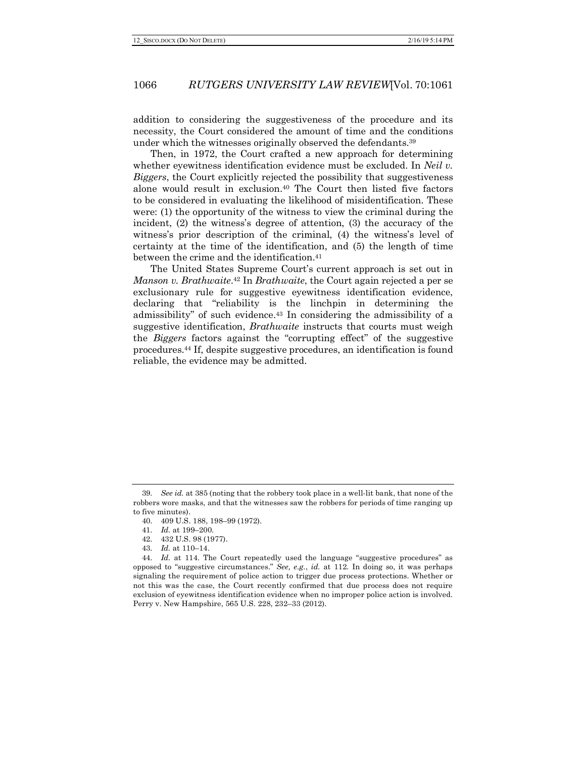addition to considering the suggestiveness of the procedure and its necessity, the Court considered the amount of time and the conditions under which the witnesses originally observed the defendants.39

Then, in 1972, the Court crafted a new approach for determining whether eyewitness identification evidence must be excluded. In *Neil v. Biggers*, the Court explicitly rejected the possibility that suggestiveness alone would result in exclusion.40 The Court then listed five factors to be considered in evaluating the likelihood of misidentification. These were: (1) the opportunity of the witness to view the criminal during the incident, (2) the witness's degree of attention, (3) the accuracy of the witness's prior description of the criminal, (4) the witness's level of certainty at the time of the identification, and (5) the length of time between the crime and the identification.<sup>41</sup>

The United States Supreme Court's current approach is set out in *Manson v. Brathwaite*.42 In *Brathwaite*, the Court again rejected a per se exclusionary rule for suggestive eyewitness identification evidence, declaring that "reliability is the linchpin in determining the admissibility" of such evidence.43 In considering the admissibility of a suggestive identification, *Brathwaite* instructs that courts must weigh the *Biggers* factors against the "corrupting effect" of the suggestive procedures.44 If, despite suggestive procedures, an identification is found reliable, the evidence may be admitted.

<sup>39.</sup> *See id.* at 385 (noting that the robbery took place in a well-lit bank, that none of the robbers wore masks, and that the witnesses saw the robbers for periods of time ranging up to five minutes).

<sup>40.</sup> 409 U.S. 188, 198–99 (1972).

<sup>41.</sup> *Id.* at 199–200.

<sup>42.</sup> 432 U.S. 98 (1977).

<sup>43.</sup> *Id.* at 110–14.

<sup>44.</sup> *Id.* at 114. The Court repeatedly used the language "suggestive procedures" as opposed to "suggestive circumstances." *See, e.g.*, *id.* at 112. In doing so, it was perhaps signaling the requirement of police action to trigger due process protections. Whether or not this was the case, the Court recently confirmed that due process does not require exclusion of eyewitness identification evidence when no improper police action is involved. Perry v. New Hampshire, 565 U.S. 228, 232–33 (2012).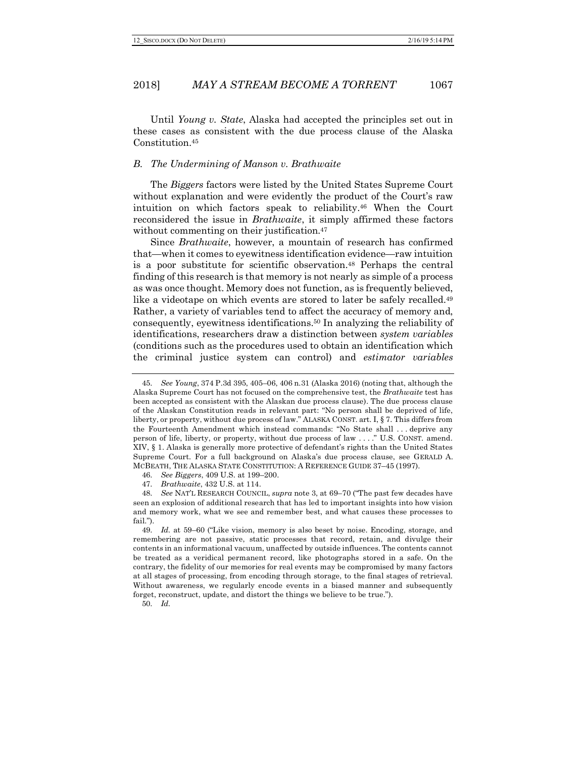Until *Young v. State*, Alaska had accepted the principles set out in these cases as consistent with the due process clause of the Alaska Constitution.45

#### *B. The Undermining of Manson v. Brathwaite*

The *Biggers* factors were listed by the United States Supreme Court without explanation and were evidently the product of the Court's raw intuition on which factors speak to reliability.46 When the Court reconsidered the issue in *Brathwaite*, it simply affirmed these factors without commenting on their justification.<sup>47</sup>

Since *Brathwaite*, however, a mountain of research has confirmed that—when it comes to eyewitness identification evidence—raw intuition is a poor substitute for scientific observation.48 Perhaps the central finding of this research is that memory is not nearly as simple of a process as was once thought. Memory does not function, as is frequently believed, like a videotape on which events are stored to later be safely recalled.<sup>49</sup> Rather, a variety of variables tend to affect the accuracy of memory and, consequently, eyewitness identifications.50 In analyzing the reliability of identifications, researchers draw a distinction between *system variables* (conditions such as the procedures used to obtain an identification which the criminal justice system can control) and *estimator variables*

46. *See Biggers*, 409 U.S. at 199–200.

50. *Id.*

<sup>45.</sup> *See Young*, 374 P.3d 395, 405–06, 406 n.31 (Alaska 2016) (noting that, although the Alaska Supreme Court has not focused on the comprehensive test, the *Brathwaite* test has been accepted as consistent with the Alaskan due process clause). The due process clause of the Alaskan Constitution reads in relevant part: "No person shall be deprived of life, liberty, or property, without due process of law." ALASKA CONST. art. I, § 7. This differs from the Fourteenth Amendment which instead commands: "No State shall . . . deprive any person of life, liberty, or property, without due process of law . . . ." U.S. CONST. amend. XIV, § 1. Alaska is generally more protective of defendant's rights than the United States Supreme Court. For a full background on Alaska's due process clause, see GERALD A. MCBEATH, THE ALASKA STATE CONSTITUTION: A REFERENCE GUIDE 37–45 (1997).

<sup>47.</sup> *Brathwaite*, 432 U.S. at 114.

<sup>48.</sup> *See* NAT'L RESEARCH COUNCIL, *supra* note 3, at 69–70 ("The past few decades have seen an explosion of additional research that has led to important insights into how vision and memory work, what we see and remember best, and what causes these processes to fail.").

<sup>49.</sup> *Id.* at 59–60 ("Like vision, memory is also beset by noise. Encoding, storage, and remembering are not passive, static processes that record, retain, and divulge their contents in an informational vacuum, unaffected by outside influences. The contents cannot be treated as a veridical permanent record, like photographs stored in a safe. On the contrary, the fidelity of our memories for real events may be compromised by many factors at all stages of processing, from encoding through storage, to the final stages of retrieval. Without awareness, we regularly encode events in a biased manner and subsequently forget, reconstruct, update, and distort the things we believe to be true.").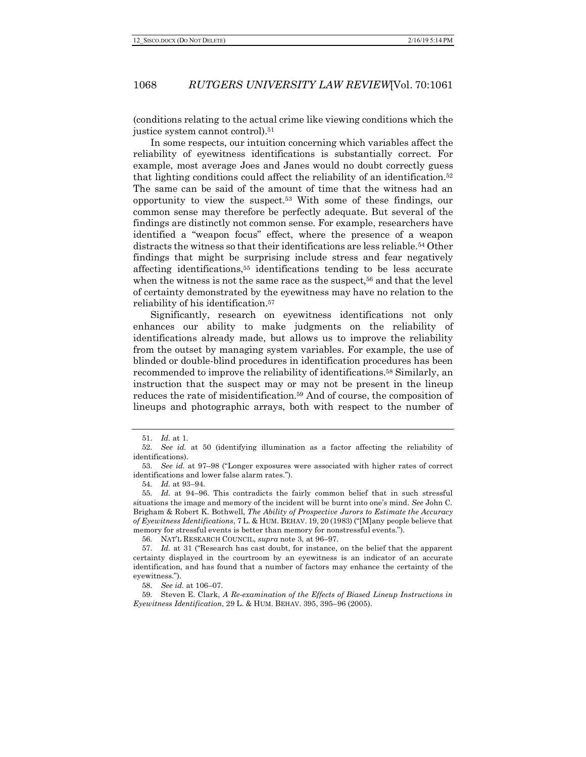(conditions relating to the actual crime like viewing conditions which the justice system cannot control).51

In some respects, our intuition concerning which variables affect the reliability of eyewitness identifications is substantially correct. For example, most average Joes and Janes would no doubt correctly guess that lighting conditions could affect the reliability of an identification.52 The same can be said of the amount of time that the witness had an opportunity to view the suspect.53 With some of these findings, our common sense may therefore be perfectly adequate. But several of the findings are distinctly not common sense. For example, researchers have identified a "weapon focus" effect, where the presence of a weapon distracts the witness so that their identifications are less reliable.54 Other findings that might be surprising include stress and fear negatively affecting identifications,55 identifications tending to be less accurate when the witness is not the same race as the suspect,<sup>56</sup> and that the level of certainty demonstrated by the eyewitness may have no relation to the reliability of his identification.57

Significantly, research on eyewitness identifications not only enhances our ability to make judgments on the reliability of identifications already made, but allows us to improve the reliability from the outset by managing system variables. For example, the use of blinded or double-blind procedures in identification procedures has been recommended to improve the reliability of identifications.58 Similarly, an instruction that the suspect may or may not be present in the lineup reduces the rate of misidentification.59 And of course, the composition of lineups and photographic arrays, both with respect to the number of

54. *Id.* at 93–94.

56. NAT'L RESEARCH COUNCIL, *supra* note 3, at 96–97.

58. *See id.* at 106–07.

59. Steven E. Clark, *A Re-examination of the Effects of Biased Lineup Instructions in Eyewitness Identification*, 29 L. & HUM. BEHAV. 395, 395–96 (2005).

<sup>51.</sup> *Id.* at 1.

<sup>52.</sup> *See id.* at 50 (identifying illumination as a factor affecting the reliability of identifications).

<sup>53.</sup> *See id.* at 97–98 ("Longer exposures were associated with higher rates of correct identifications and lower false alarm rates.").

<sup>55.</sup> *Id.* at 94–96. This contradicts the fairly common belief that in such stressful situations the image and memory of the incident will be burnt into one's mind. *See* John C. Brigham & Robert K. Bothwell, *The Ability of Prospective Jurors to Estimate the Accuracy of Eyewitness Identifications*, 7 L. & HUM. BEHAV. 19, 20 (1983) ("[M]any people believe that memory for stressful events is better than memory for nonstressful events.").

<sup>57.</sup> *Id.* at 31 ("Research has cast doubt, for instance, on the belief that the apparent certainty displayed in the courtroom by an eyewitness is an indicator of an accurate identification, and has found that a number of factors may enhance the certainty of the eyewitness.").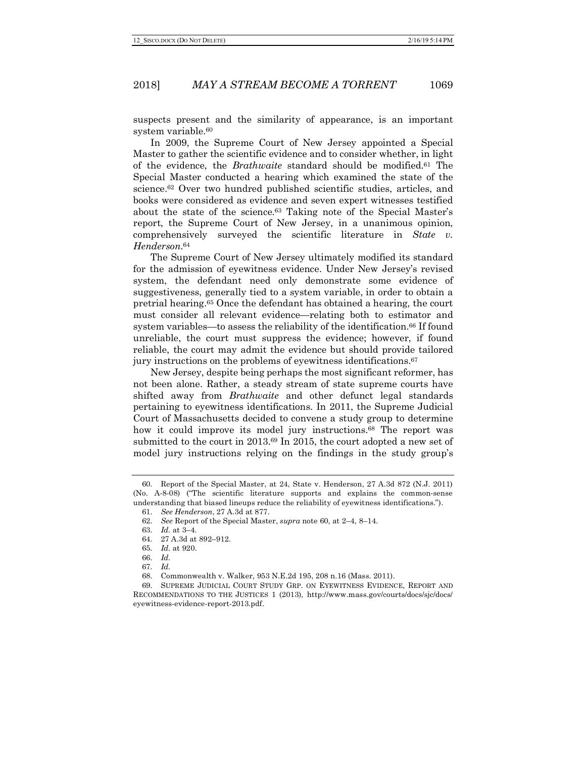suspects present and the similarity of appearance, is an important system variable.<sup>60</sup>

In 2009, the Supreme Court of New Jersey appointed a Special Master to gather the scientific evidence and to consider whether, in light of the evidence, the *Brathwaite* standard should be modified.61 The Special Master conducted a hearing which examined the state of the science.62 Over two hundred published scientific studies, articles, and books were considered as evidence and seven expert witnesses testified about the state of the science.63 Taking note of the Special Master's report, the Supreme Court of New Jersey, in a unanimous opinion, comprehensively surveyed the scientific literature in *State v. Henderson*.64

The Supreme Court of New Jersey ultimately modified its standard for the admission of eyewitness evidence. Under New Jersey's revised system, the defendant need only demonstrate some evidence of suggestiveness, generally tied to a system variable, in order to obtain a pretrial hearing.65 Once the defendant has obtained a hearing, the court must consider all relevant evidence—relating both to estimator and system variables—to assess the reliability of the identification.<sup>66</sup> If found unreliable, the court must suppress the evidence; however, if found reliable, the court may admit the evidence but should provide tailored jury instructions on the problems of eyewitness identifications.67

New Jersey, despite being perhaps the most significant reformer, has not been alone. Rather, a steady stream of state supreme courts have shifted away from *Brathwaite* and other defunct legal standards pertaining to eyewitness identifications. In 2011, the Supreme Judicial Court of Massachusetts decided to convene a study group to determine how it could improve its model jury instructions.<sup>68</sup> The report was submitted to the court in 2013.69 In 2015, the court adopted a new set of model jury instructions relying on the findings in the study group's

<sup>60.</sup> Report of the Special Master, at 24, State v. Henderson, 27 A.3d 872 (N.J. 2011) (No. A-8-08) ("The scientific literature supports and explains the common-sense understanding that biased lineups reduce the reliability of eyewitness identifications.").

<sup>61.</sup> *See Henderson*, 27 A.3d at 877.

<sup>62.</sup> *See* Report of the Special Master, *supra* note 60, at 2–4, 8–14.

<sup>63.</sup> *Id.* at 3–4.

<sup>64.</sup> 27 A.3d at 892–912.

<sup>65.</sup> *Id.* at 920.

<sup>66.</sup> *Id.*

<sup>67.</sup> *Id.* 

<sup>68.</sup> Commonwealth v. Walker, 953 N.E.2d 195, 208 n.16 (Mass. 2011).

<sup>69.</sup> SUPREME JUDICIAL COURT STUDY GRP. ON EYEWITNESS EVIDENCE, REPORT AND RECOMMENDATIONS TO THE JUSTICES 1 (2013), http://www.mass.gov/courts/docs/sjc/docs/ eyewitness-evidence-report-2013.pdf.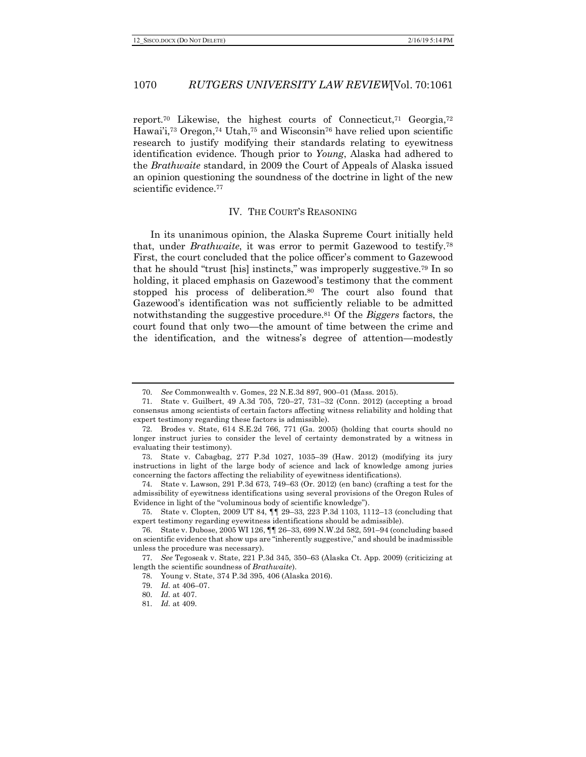report.70 Likewise, the highest courts of Connecticut,71 Georgia,72 Hawai'i,<sup>73</sup> Oregon,<sup>74</sup> Utah,<sup>75</sup> and Wisconsin<sup>76</sup> have relied upon scientific research to justify modifying their standards relating to eyewitness identification evidence. Though prior to *Young*, Alaska had adhered to the *Brathwaite* standard, in 2009 the Court of Appeals of Alaska issued an opinion questioning the soundness of the doctrine in light of the new scientific evidence.77

#### IV. THE COURT'S REASONING

In its unanimous opinion, the Alaska Supreme Court initially held that, under *Brathwaite*, it was error to permit Gazewood to testify.78 First, the court concluded that the police officer's comment to Gazewood that he should "trust [his] instincts," was improperly suggestive.79 In so holding, it placed emphasis on Gazewood's testimony that the comment stopped his process of deliberation.<sup>80</sup> The court also found that Gazewood's identification was not sufficiently reliable to be admitted notwithstanding the suggestive procedure.81 Of the *Biggers* factors, the court found that only two—the amount of time between the crime and the identification, and the witness's degree of attention—modestly

74. State v. Lawson, 291 P.3d 673, 749–63 (Or. 2012) (en banc) (crafting a test for the admissibility of eyewitness identifications using several provisions of the Oregon Rules of Evidence in light of the "voluminous body of scientific knowledge").

75. State v. Clopten, 2009 UT 84, ¶¶ 29–33, 223 P.3d 1103, 1112–13 (concluding that expert testimony regarding eyewitness identifications should be admissible).

<sup>70.</sup> *See* Commonwealth v. Gomes, 22 N.E.3d 897, 900–01 (Mass. 2015).

<sup>71.</sup> State v. Guilbert, 49 A.3d 705, 720–27, 731–32 (Conn. 2012) (accepting a broad consensus among scientists of certain factors affecting witness reliability and holding that expert testimony regarding these factors is admissible).

<sup>72.</sup> Brodes v. State, 614 S.E.2d 766, 771 (Ga. 2005) (holding that courts should no longer instruct juries to consider the level of certainty demonstrated by a witness in evaluating their testimony).

<sup>73.</sup> State v. Cabagbag, 277 P.3d 1027, 1035–39 (Haw. 2012) (modifying its jury instructions in light of the large body of science and lack of knowledge among juries concerning the factors affecting the reliability of eyewitness identifications).

<sup>76.</sup> State v. Dubose, 2005 WI 126, ¶¶ 26–33, 699 N.W.2d 582, 591–94 (concluding based on scientific evidence that show ups are "inherently suggestive," and should be inadmissible unless the procedure was necessary).

<sup>77.</sup> *See* Tegoseak v. State, 221 P.3d 345, 350–63 (Alaska Ct. App. 2009) (criticizing at length the scientific soundness of *Brathwaite*).

<sup>78.</sup> Young v. State, 374 P.3d 395, 406 (Alaska 2016).

<sup>79.</sup> *Id.* at 406–07.

<sup>80.</sup> *Id.* at 407.

<sup>81.</sup> *Id.* at 409.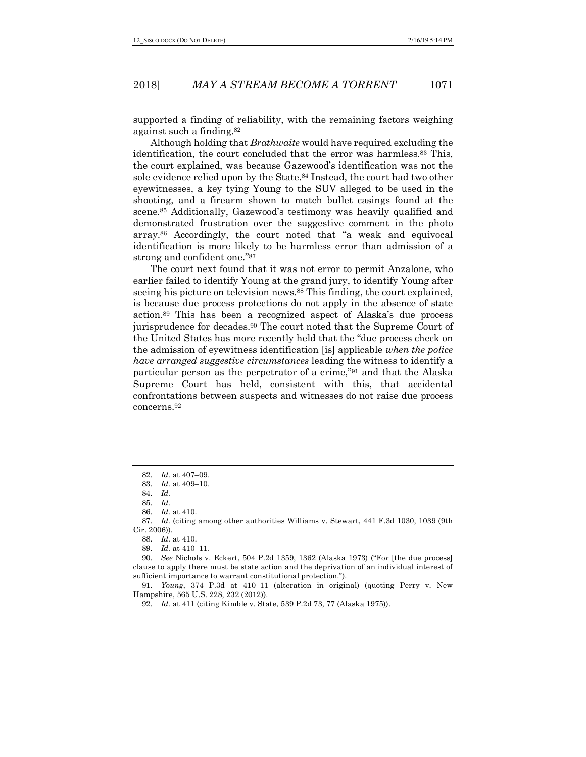supported a finding of reliability, with the remaining factors weighing against such a finding.82

Although holding that *Brathwaite* would have required excluding the identification, the court concluded that the error was harmless.83 This, the court explained, was because Gazewood's identification was not the sole evidence relied upon by the State.<sup>84</sup> Instead, the court had two other eyewitnesses, a key tying Young to the SUV alleged to be used in the shooting, and a firearm shown to match bullet casings found at the scene.85 Additionally, Gazewood's testimony was heavily qualified and demonstrated frustration over the suggestive comment in the photo array.86 Accordingly, the court noted that "a weak and equivocal identification is more likely to be harmless error than admission of a strong and confident one."87

The court next found that it was not error to permit Anzalone, who earlier failed to identify Young at the grand jury, to identify Young after seeing his picture on television news.88 This finding, the court explained, is because due process protections do not apply in the absence of state action.89 This has been a recognized aspect of Alaska's due process jurisprudence for decades.90 The court noted that the Supreme Court of the United States has more recently held that the "due process check on the admission of eyewitness identification [is] applicable *when the police have arranged suggestive circumstances* leading the witness to identify a particular person as the perpetrator of a crime,"91 and that the Alaska Supreme Court has held, consistent with this, that accidental confrontations between suspects and witnesses do not raise due process concerns.92

<sup>82.</sup> *Id.* at 407–09.

<sup>83.</sup> *Id.* at 409–10.

<sup>84.</sup> *Id.*

<sup>85.</sup> *Id.*

<sup>86.</sup> *Id.* at 410.

<sup>87.</sup> *Id.* (citing among other authorities Williams v. Stewart, 441 F.3d 1030, 1039 (9th Cir. 2006)).

<sup>88.</sup> *Id.* at 410.

<sup>89.</sup> *Id.* at 410–11.

<sup>90.</sup> *See* Nichols v. Eckert, 504 P.2d 1359, 1362 (Alaska 1973) ("For [the due process] clause to apply there must be state action and the deprivation of an individual interest of sufficient importance to warrant constitutional protection.").

<sup>91.</sup> *Young*, 374 P.3d at 410–11 (alteration in original) (quoting Perry v. New Hampshire, 565 U.S. 228, 232 (2012)).

<sup>92.</sup> *Id.* at 411 (citing Kimble v. State, 539 P.2d 73, 77 (Alaska 1975)).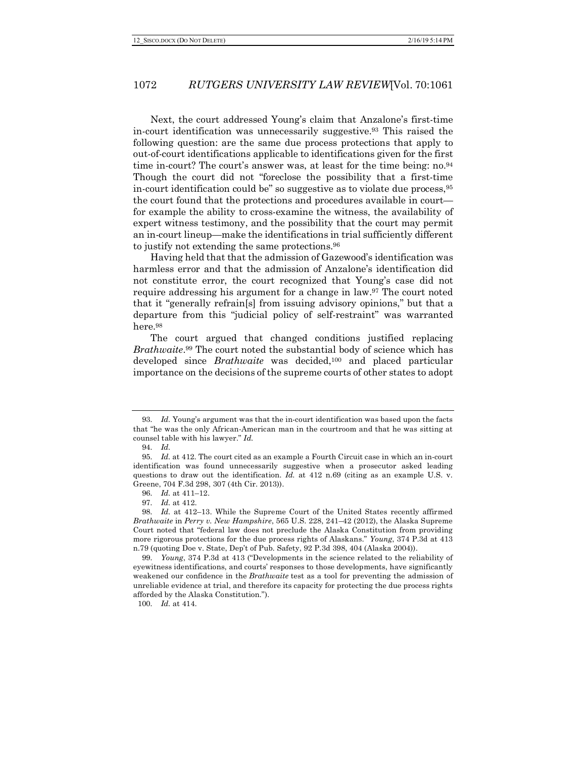Next, the court addressed Young's claim that Anzalone's first-time in-court identification was unnecessarily suggestive.93 This raised the following question: are the same due process protections that apply to out-of-court identifications applicable to identifications given for the first time in-court? The court's answer was, at least for the time being: no.94 Though the court did not "foreclose the possibility that a first-time in-court identification could be" so suggestive as to violate due process,95 the court found that the protections and procedures available in court for example the ability to cross-examine the witness, the availability of expert witness testimony, and the possibility that the court may permit an in-court lineup—make the identifications in trial sufficiently different to justify not extending the same protections.96

Having held that that the admission of Gazewood's identification was harmless error and that the admission of Anzalone's identification did not constitute error, the court recognized that Young's case did not require addressing his argument for a change in law.97 The court noted that it "generally refrain[s] from issuing advisory opinions," but that a departure from this "judicial policy of self-restraint" was warranted here.98

The court argued that changed conditions justified replacing *Brathwaite*.99 The court noted the substantial body of science which has developed since *Brathwaite* was decided,100 and placed particular importance on the decisions of the supreme courts of other states to adopt

100. *Id.* at 414.

<sup>93.</sup> *Id.* Young's argument was that the in-court identification was based upon the facts that "he was the only African-American man in the courtroom and that he was sitting at counsel table with his lawyer." *Id.*

<sup>94.</sup> *Id.*

<sup>95.</sup> *Id.* at 412. The court cited as an example a Fourth Circuit case in which an in-court identification was found unnecessarily suggestive when a prosecutor asked leading questions to draw out the identification. *Id.* at 412 n.69 (citing as an example U.S. v. Greene, 704 F.3d 298, 307 (4th Cir. 2013)).

<sup>96.</sup> *Id.* at 411–12.

<sup>97.</sup> *Id.* at 412.

<sup>98.</sup> *Id.* at 412–13. While the Supreme Court of the United States recently affirmed *Brathwaite* in *Perry v. New Hampshire*, 565 U.S. 228, 241–42 (2012), the Alaska Supreme Court noted that "federal law does not preclude the Alaska Constitution from providing more rigorous protections for the due process rights of Alaskans." *Young*, 374 P.3d at 413 n.79 (quoting Doe v. State, Dep't of Pub. Safety, 92 P.3d 398, 404 (Alaska 2004)).

<sup>99.</sup> *Young*, 374 P.3d at 413 ("Developments in the science related to the reliability of eyewitness identifications, and courts' responses to those developments, have significantly weakened our confidence in the *Brathwaite* test as a tool for preventing the admission of unreliable evidence at trial, and therefore its capacity for protecting the due process rights afforded by the Alaska Constitution.").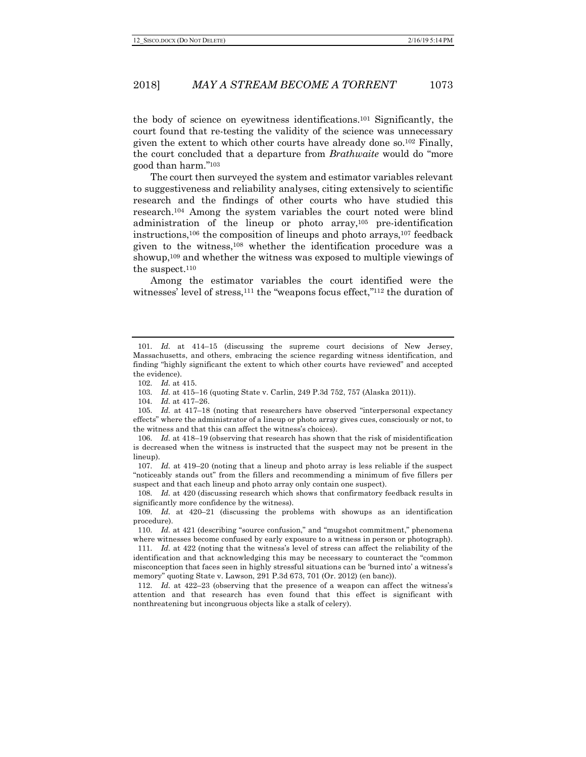the body of science on eyewitness identifications.101 Significantly, the court found that re-testing the validity of the science was unnecessary given the extent to which other courts have already done so.102 Finally, the court concluded that a departure from *Brathwaite* would do "more good than harm."103

The court then surveyed the system and estimator variables relevant to suggestiveness and reliability analyses, citing extensively to scientific research and the findings of other courts who have studied this research.104 Among the system variables the court noted were blind administration of the lineup or photo array,105 pre-identification instructions,<sup>106</sup> the composition of lineups and photo arrays,<sup>107</sup> feedback given to the witness,108 whether the identification procedure was a showup,<sup>109</sup> and whether the witness was exposed to multiple viewings of the suspect. $110$ 

Among the estimator variables the court identified were the witnesses' level of stress,<sup>111</sup> the "weapons focus effect,"<sup>112</sup> the duration of

107. *Id.* at 419–20 (noting that a lineup and photo array is less reliable if the suspect "noticeably stands out" from the fillers and recommending a minimum of five fillers per suspect and that each lineup and photo array only contain one suspect).

108. *Id.* at 420 (discussing research which shows that confirmatory feedback results in significantly more confidence by the witness).

109. *Id.* at 420–21 (discussing the problems with showups as an identification procedure).

110. *Id.* at 421 (describing "source confusion," and "mugshot commitment," phenomena where witnesses become confused by early exposure to a witness in person or photograph).

111. *Id.* at 422 (noting that the witness's level of stress can affect the reliability of the identification and that acknowledging this may be necessary to counteract the "common misconception that faces seen in highly stressful situations can be 'burned into' a witness's memory" quoting State v. Lawson, 291 P.3d 673, 701 (Or. 2012) (en banc)).

112. *Id.* at 422–23 (observing that the presence of a weapon can affect the witness's attention and that research has even found that this effect is significant with nonthreatening but incongruous objects like a stalk of celery).

<sup>101.</sup> *Id.* at 414–15 (discussing the supreme court decisions of New Jersey, Massachusetts, and others, embracing the science regarding witness identification, and finding "highly significant the extent to which other courts have reviewed" and accepted the evidence).

<sup>102.</sup> *Id.* at 415.

<sup>103.</sup> *Id.* at 415–16 (quoting State v. Carlin, 249 P.3d 752, 757 (Alaska 2011)).

<sup>104.</sup> *Id.* at 417–26.

<sup>105.</sup> *Id.* at 417–18 (noting that researchers have observed "interpersonal expectancy effects" where the administrator of a lineup or photo array gives cues, consciously or not, to the witness and that this can affect the witness's choices).

<sup>106.</sup> *Id.* at 418–19 (observing that research has shown that the risk of misidentification is decreased when the witness is instructed that the suspect may not be present in the lineup).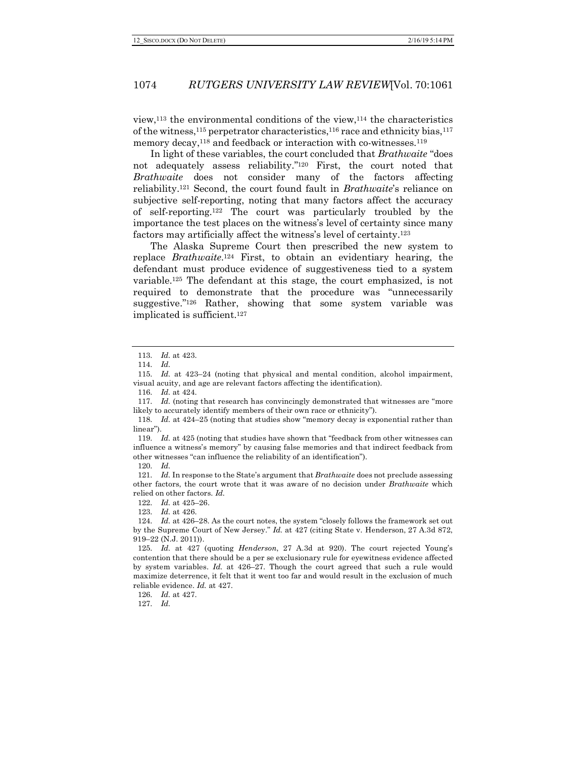view,113 the environmental conditions of the view,114 the characteristics of the witness,<sup>115</sup> perpetrator characteristics,<sup>116</sup> race and ethnicity bias,<sup>117</sup> memory decay,<sup>118</sup> and feedback or interaction with co-witnesses.<sup>119</sup>

In light of these variables, the court concluded that *Brathwaite* "does not adequately assess reliability."120 First, the court noted that *Brathwaite* does not consider many of the factors affecting reliability.121 Second, the court found fault in *Brathwaite*'s reliance on subjective self-reporting, noting that many factors affect the accuracy of self-reporting.122 The court was particularly troubled by the importance the test places on the witness's level of certainty since many factors may artificially affect the witness's level of certainty.123

The Alaska Supreme Court then prescribed the new system to replace *Brathwaite*.124 First, to obtain an evidentiary hearing, the defendant must produce evidence of suggestiveness tied to a system variable.125 The defendant at this stage, the court emphasized, is not required to demonstrate that the procedure was "unnecessarily suggestive."126 Rather, showing that some system variable was implicated is sufficient.127

113. *Id.* at 423.

119. *Id.* at 425 (noting that studies have shown that "feedback from other witnesses can influence a witness's memory" by causing false memories and that indirect feedback from other witnesses "can influence the reliability of an identification").

120. *Id.*

121. *Id.* In response to the State's argument that *Brathwaite* does not preclude assessing other factors, the court wrote that it was aware of no decision under *Brathwaite* which relied on other factors. *Id.*

122. *Id.* at 425–26.

123. *Id.* at 426.

127. *Id.* 

<sup>114.</sup> *Id.*

<sup>115.</sup> *Id.* at 423–24 (noting that physical and mental condition, alcohol impairment, visual acuity, and age are relevant factors affecting the identification).

<sup>116.</sup> *Id.* at 424.

<sup>117.</sup> *Id.* (noting that research has convincingly demonstrated that witnesses are "more likely to accurately identify members of their own race or ethnicity").

<sup>118.</sup> *Id.* at 424–25 (noting that studies show "memory decay is exponential rather than linear").

<sup>124.</sup> *Id.* at 426–28. As the court notes, the system "closely follows the framework set out by the Supreme Court of New Jersey." *Id.* at 427 (citing State v. Henderson, 27 A.3d 872, 919–22 (N.J. 2011)).

<sup>125.</sup> *Id.* at 427 (quoting *Henderson*, 27 A.3d at 920). The court rejected Young's contention that there should be a per se exclusionary rule for eyewitness evidence affected by system variables. *Id.* at 426–27. Though the court agreed that such a rule would maximize deterrence, it felt that it went too far and would result in the exclusion of much reliable evidence. *Id.* at 427.

<sup>126.</sup> *Id.* at 427.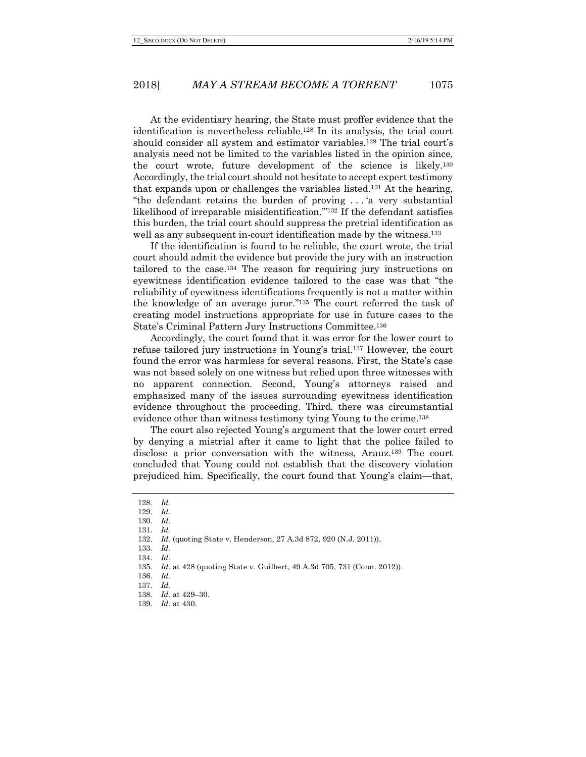At the evidentiary hearing, the State must proffer evidence that the identification is nevertheless reliable.128 In its analysis, the trial court should consider all system and estimator variables.129 The trial court's analysis need not be limited to the variables listed in the opinion since, the court wrote, future development of the science is likely.130 Accordingly, the trial court should not hesitate to accept expert testimony that expands upon or challenges the variables listed.131 At the hearing, "the defendant retains the burden of proving . . . 'a very substantial likelihood of irreparable misidentification.'"132 If the defendant satisfies this burden, the trial court should suppress the pretrial identification as well as any subsequent in-court identification made by the witness.<sup>133</sup>

If the identification is found to be reliable, the court wrote, the trial court should admit the evidence but provide the jury with an instruction tailored to the case.134 The reason for requiring jury instructions on eyewitness identification evidence tailored to the case was that "the reliability of eyewitness identifications frequently is not a matter within the knowledge of an average juror."135 The court referred the task of creating model instructions appropriate for use in future cases to the State's Criminal Pattern Jury Instructions Committee.136

Accordingly, the court found that it was error for the lower court to refuse tailored jury instructions in Young's trial.137 However, the court found the error was harmless for several reasons. First, the State's case was not based solely on one witness but relied upon three witnesses with no apparent connection. Second, Young's attorneys raised and emphasized many of the issues surrounding eyewitness identification evidence throughout the proceeding. Third, there was circumstantial evidence other than witness testimony tying Young to the crime.138

The court also rejected Young's argument that the lower court erred by denying a mistrial after it came to light that the police failed to disclose a prior conversation with the witness, Arauz.139 The court concluded that Young could not establish that the discovery violation prejudiced him. Specifically, the court found that Young's claim—that,

<sup>128.</sup> *Id.*

<sup>129.</sup> *Id.*

<sup>130.</sup> *Id.*

<sup>131.</sup> *Id.*

<sup>132.</sup> *Id.* (quoting State v. Henderson, 27 A.3d 872, 920 (N.J. 2011)).

<sup>133.</sup> *Id.* 134. *Id.*

<sup>135.</sup> *Id.* at 428 (quoting State v. Guilbert, 49 A.3d 705, 731 (Conn. 2012)).

<sup>136.</sup> *Id.*

<sup>137.</sup> *Id.*

<sup>138.</sup> *Id.* at 429–30.

<sup>139.</sup> *Id.* at 430.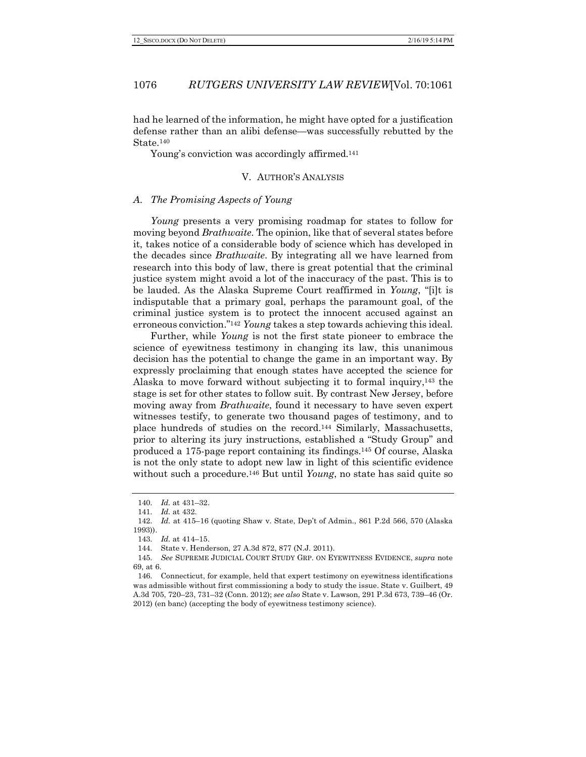had he learned of the information, he might have opted for a justification defense rather than an alibi defense—was successfully rebutted by the State.140

Young's conviction was accordingly affirmed.<sup>141</sup>

#### V. AUTHOR'S ANALYSIS

#### *A. The Promising Aspects of Young*

*Young* presents a very promising roadmap for states to follow for moving beyond *Brathwaite*. The opinion, like that of several states before it, takes notice of a considerable body of science which has developed in the decades since *Brathwaite*. By integrating all we have learned from research into this body of law, there is great potential that the criminal justice system might avoid a lot of the inaccuracy of the past. This is to be lauded. As the Alaska Supreme Court reaffirmed in *Young*, "[i]t is indisputable that a primary goal, perhaps the paramount goal, of the criminal justice system is to protect the innocent accused against an erroneous conviction."142 *Young* takes a step towards achieving this ideal.

Further, while *Young* is not the first state pioneer to embrace the science of eyewitness testimony in changing its law, this unanimous decision has the potential to change the game in an important way. By expressly proclaiming that enough states have accepted the science for Alaska to move forward without subjecting it to formal inquiry,143 the stage is set for other states to follow suit. By contrast New Jersey, before moving away from *Brathwaite*, found it necessary to have seven expert witnesses testify, to generate two thousand pages of testimony, and to place hundreds of studies on the record.144 Similarly, Massachusetts, prior to altering its jury instructions, established a "Study Group" and produced a 175-page report containing its findings.145 Of course, Alaska is not the only state to adopt new law in light of this scientific evidence without such a procedure.146 But until *Young*, no state has said quite so

<sup>140.</sup> *Id.* at 431–32.

<sup>141.</sup> *Id.* at 432.

<sup>142.</sup> *Id.* at 415–16 (quoting Shaw v. State, Dep't of Admin., 861 P.2d 566, 570 (Alaska 1993)).

<sup>143.</sup> *Id.* at 414–15.

<sup>144.</sup> State v. Henderson, 27 A.3d 872, 877 (N.J. 2011).

<sup>145.</sup> *See* SUPREME JUDICIAL COURT STUDY GRP. ON EYEWITNESS EVIDENCE, *supra* note 69, at 6.

<sup>146.</sup> Connecticut, for example, held that expert testimony on eyewitness identifications was admissible without first commissioning a body to study the issue. State v. Guilbert, 49 A.3d 705, 720–23, 731–32 (Conn. 2012); *see also* State v. Lawson, 291 P.3d 673, 739–46 (Or. 2012) (en banc) (accepting the body of eyewitness testimony science).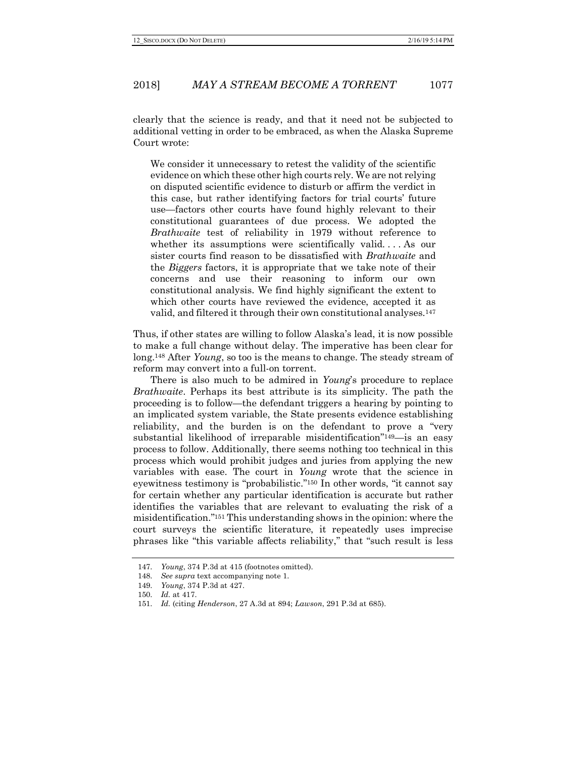clearly that the science is ready, and that it need not be subjected to additional vetting in order to be embraced, as when the Alaska Supreme Court wrote:

We consider it unnecessary to retest the validity of the scientific evidence on which these other high courts rely. We are not relying on disputed scientific evidence to disturb or affirm the verdict in this case, but rather identifying factors for trial courts' future use—factors other courts have found highly relevant to their constitutional guarantees of due process. We adopted the *Brathwaite* test of reliability in 1979 without reference to whether its assumptions were scientifically valid. . . . As our sister courts find reason to be dissatisfied with *Brathwaite* and the *Biggers* factors, it is appropriate that we take note of their concerns and use their reasoning to inform our own constitutional analysis. We find highly significant the extent to which other courts have reviewed the evidence, accepted it as valid, and filtered it through their own constitutional analyses.147

Thus, if other states are willing to follow Alaska's lead, it is now possible to make a full change without delay. The imperative has been clear for long.148 After *Young*, so too is the means to change. The steady stream of reform may convert into a full-on torrent.

There is also much to be admired in *Young*'s procedure to replace *Brathwaite*. Perhaps its best attribute is its simplicity. The path the proceeding is to follow—the defendant triggers a hearing by pointing to an implicated system variable, the State presents evidence establishing reliability, and the burden is on the defendant to prove a "very substantial likelihood of irreparable misidentification"149—is an easy process to follow. Additionally, there seems nothing too technical in this process which would prohibit judges and juries from applying the new variables with ease. The court in *Young* wrote that the science in eyewitness testimony is "probabilistic."150 In other words, "it cannot say for certain whether any particular identification is accurate but rather identifies the variables that are relevant to evaluating the risk of a misidentification."151 This understanding shows in the opinion: where the court surveys the scientific literature, it repeatedly uses imprecise phrases like "this variable affects reliability," that "such result is less

<sup>147.</sup> *Young*, 374 P.3d at 415 (footnotes omitted).

<sup>148.</sup> *See supra* text accompanying note 1.

<sup>149.</sup> *Young*, 374 P.3d at 427.

<sup>150.</sup> *Id.* at 417.

<sup>151.</sup> *Id.* (citing *Henderson*, 27 A.3d at 894; *Lawson*, 291 P.3d at 685).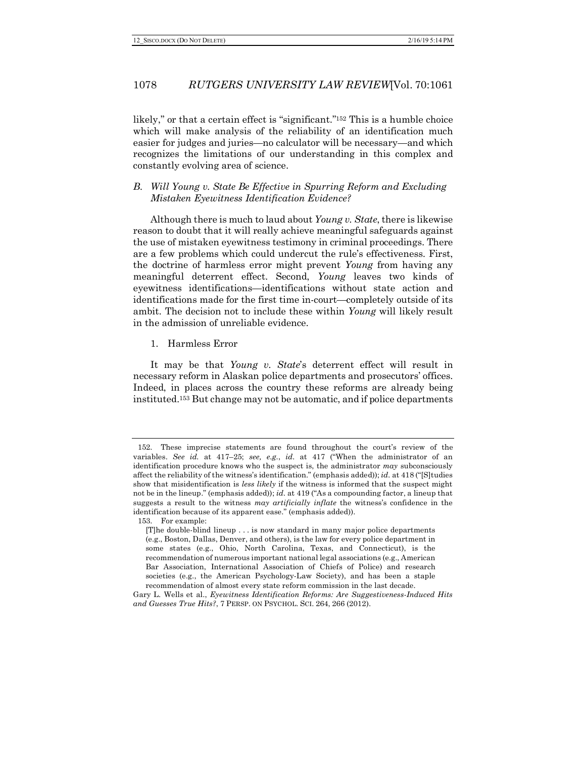likely," or that a certain effect is "significant."<sup>152</sup> This is a humble choice which will make analysis of the reliability of an identification much easier for judges and juries—no calculator will be necessary—and which recognizes the limitations of our understanding in this complex and constantly evolving area of science.

# *B. Will Young v. State Be Effective in Spurring Reform and Excluding Mistaken Eyewitness Identification Evidence?*

Although there is much to laud about *Young v. State*, there is likewise reason to doubt that it will really achieve meaningful safeguards against the use of mistaken eyewitness testimony in criminal proceedings. There are a few problems which could undercut the rule's effectiveness. First, the doctrine of harmless error might prevent *Young* from having any meaningful deterrent effect. Second, *Young* leaves two kinds of eyewitness identifications—identifications without state action and identifications made for the first time in-court—completely outside of its ambit. The decision not to include these within *Young* will likely result in the admission of unreliable evidence.

1. Harmless Error

It may be that *Young v. State*'s deterrent effect will result in necessary reform in Alaskan police departments and prosecutors' offices. Indeed, in places across the country these reforms are already being instituted.153 But change may not be automatic, and if police departments

<sup>152.</sup> These imprecise statements are found throughout the court's review of the variables. *See id.* at 417–25; *see, e.g.*, *id.* at 417 ("When the administrator of an identification procedure knows who the suspect is, the administrator *may* subconsciously affect the reliability of the witness's identification." (emphasis added)); *id.* at 418 ("[S]tudies show that misidentification is *less likely* if the witness is informed that the suspect might not be in the lineup." (emphasis added)); *id.* at 419 ("As a compounding factor, a lineup that suggests a result to the witness *may artificially inflate* the witness's confidence in the identification because of its apparent ease." (emphasis added)).

<sup>153.</sup> For example:

<sup>[</sup>T]he double-blind lineup . . . is now standard in many major police departments (e.g., Boston, Dallas, Denver, and others), is the law for every police department in some states (e.g., Ohio, North Carolina, Texas, and Connecticut), is the recommendation of numerous important national legal associations (e.g., American Bar Association, International Association of Chiefs of Police) and research societies (e.g., the American Psychology-Law Society), and has been a staple recommendation of almost every state reform commission in the last decade.

Gary L. Wells et al., *Eyewitness Identification Reforms: Are Suggestiveness-Induced Hits and Guesses True Hits?*, 7 PERSP. ON PSYCHOL. SCI. 264, 266 (2012).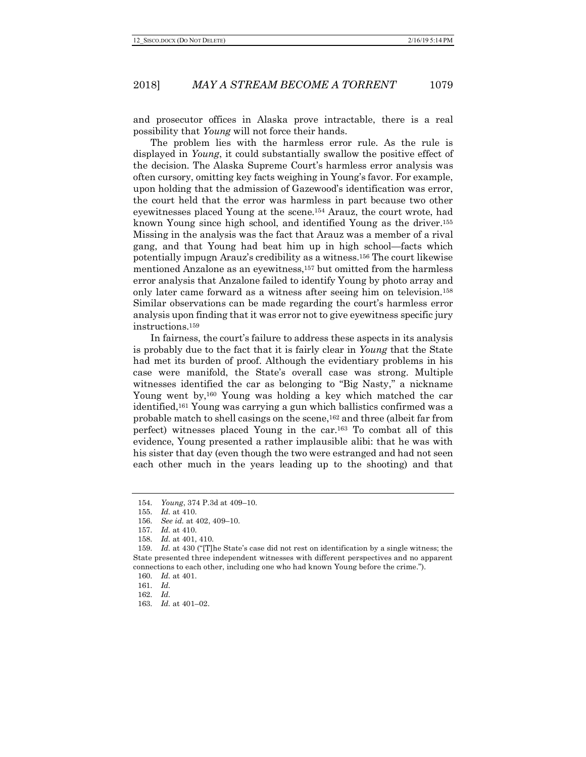and prosecutor offices in Alaska prove intractable, there is a real possibility that *Young* will not force their hands.

The problem lies with the harmless error rule. As the rule is displayed in *Young*, it could substantially swallow the positive effect of the decision. The Alaska Supreme Court's harmless error analysis was often cursory, omitting key facts weighing in Young's favor. For example, upon holding that the admission of Gazewood's identification was error, the court held that the error was harmless in part because two other eyewitnesses placed Young at the scene.154 Arauz, the court wrote, had known Young since high school, and identified Young as the driver.155 Missing in the analysis was the fact that Arauz was a member of a rival gang, and that Young had beat him up in high school—facts which potentially impugn Arauz's credibility as a witness.156 The court likewise mentioned Anzalone as an eyewitness,157 but omitted from the harmless error analysis that Anzalone failed to identify Young by photo array and only later came forward as a witness after seeing him on television.158 Similar observations can be made regarding the court's harmless error analysis upon finding that it was error not to give eyewitness specific jury instructions.159

In fairness, the court's failure to address these aspects in its analysis is probably due to the fact that it is fairly clear in *Young* that the State had met its burden of proof. Although the evidentiary problems in his case were manifold, the State's overall case was strong. Multiple witnesses identified the car as belonging to "Big Nasty," a nickname Young went by,160 Young was holding a key which matched the car identified,161 Young was carrying a gun which ballistics confirmed was a probable match to shell casings on the scene,162 and three (albeit far from perfect) witnesses placed Young in the car.163 To combat all of this evidence, Young presented a rather implausible alibi: that he was with his sister that day (even though the two were estranged and had not seen each other much in the years leading up to the shooting) and that

<sup>154.</sup> *Young*, 374 P.3d at 409–10.

<sup>155.</sup> *Id.* at 410.

<sup>156.</sup> *See id.* at 402, 409–10.

<sup>157.</sup> *Id.* at 410.

<sup>158.</sup> *Id.* at 401, 410.

<sup>159.</sup> *Id.* at 430 ("[T]he State's case did not rest on identification by a single witness; the State presented three independent witnesses with different perspectives and no apparent connections to each other, including one who had known Young before the crime.").

<sup>160.</sup> *Id.* at 401.

<sup>161.</sup> *Id.*

<sup>162.</sup> *Id.*

<sup>163.</sup> *Id.* at 401–02.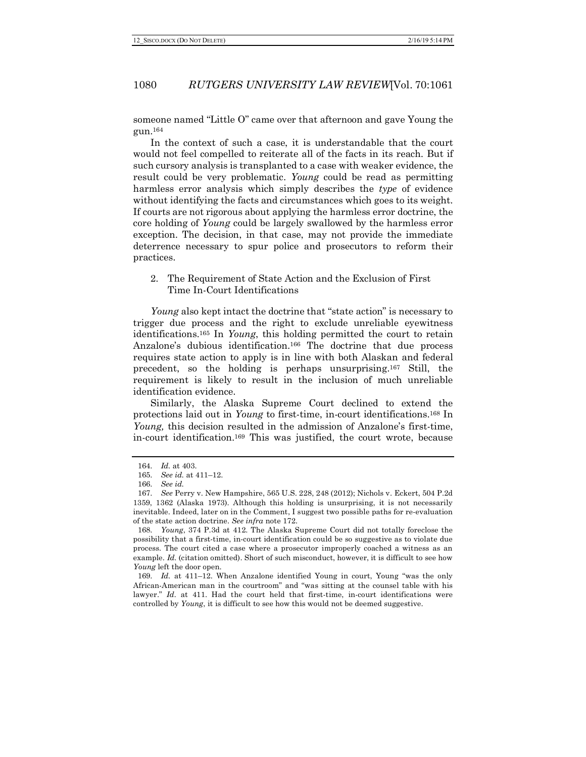someone named "Little O" came over that afternoon and gave Young the gun.164

In the context of such a case, it is understandable that the court would not feel compelled to reiterate all of the facts in its reach. But if such cursory analysis is transplanted to a case with weaker evidence, the result could be very problematic. *Young* could be read as permitting harmless error analysis which simply describes the *type* of evidence without identifying the facts and circumstances which goes to its weight. If courts are not rigorous about applying the harmless error doctrine, the core holding of *Young* could be largely swallowed by the harmless error exception. The decision, in that case, may not provide the immediate deterrence necessary to spur police and prosecutors to reform their practices.

2. The Requirement of State Action and the Exclusion of First Time In-Court Identifications

*Young* also kept intact the doctrine that "state action" is necessary to trigger due process and the right to exclude unreliable eyewitness identifications.165 In *Young*, this holding permitted the court to retain Anzalone's dubious identification.<sup>166</sup> The doctrine that due process requires state action to apply is in line with both Alaskan and federal precedent, so the holding is perhaps unsurprising.167 Still, the requirement is likely to result in the inclusion of much unreliable identification evidence.

Similarly, the Alaska Supreme Court declined to extend the protections laid out in *Young* to first-time, in-court identifications.168 In *Young,* this decision resulted in the admission of Anzalone's first-time, in-court identification.169 This was justified, the court wrote, because

<sup>164.</sup> *Id.* at 403.

<sup>165.</sup> *See id.* at 411–12.

<sup>166.</sup> *See id.*

<sup>167.</sup> *See* Perry v. New Hampshire, 565 U.S. 228, 248 (2012); Nichols v. Eckert, 504 P.2d 1359, 1362 (Alaska 1973). Although this holding is unsurprising, it is not necessarily inevitable. Indeed, later on in the Comment, I suggest two possible paths for re-evaluation of the state action doctrine. *See infra* note 172.

<sup>168.</sup> *Young*, 374 P.3d at 412. The Alaska Supreme Court did not totally foreclose the possibility that a first-time, in-court identification could be so suggestive as to violate due process. The court cited a case where a prosecutor improperly coached a witness as an example. *Id.* (citation omitted). Short of such misconduct, however, it is difficult to see how *Young* left the door open.

<sup>169.</sup> *Id.* at 411–12. When Anzalone identified Young in court, Young "was the only African-American man in the courtroom" and "was sitting at the counsel table with his lawyer." *Id.* at 411. Had the court held that first-time, in-court identifications were controlled by *Young*, it is difficult to see how this would not be deemed suggestive.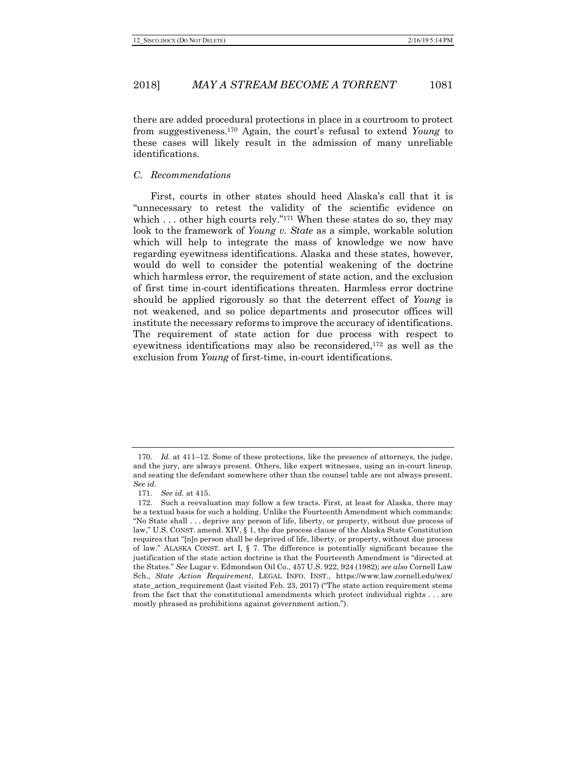there are added procedural protections in place in a courtroom to protect from suggestiveness.170 Again, the court's refusal to extend *Young* to these cases will likely result in the admission of many unreliable identifications.

#### *C. Recommendations*

First, courts in other states should heed Alaska's call that it is "unnecessary to retest the validity of the scientific evidence on which  $\dots$  other high courts rely."<sup>171</sup> When these states do so, they may look to the framework of *Young v. State* as a simple, workable solution which will help to integrate the mass of knowledge we now have regarding eyewitness identifications. Alaska and these states, however, would do well to consider the potential weakening of the doctrine which harmless error, the requirement of state action, and the exclusion of first time in-court identifications threaten. Harmless error doctrine should be applied rigorously so that the deterrent effect of *Young* is not weakened, and so police departments and prosecutor offices will institute the necessary reforms to improve the accuracy of identifications. The requirement of state action for due process with respect to eyewitness identifications may also be reconsidered,172 as well as the exclusion from *Young* of first-time, in-court identifications.

<sup>170.</sup> *Id.* at 411–12. Some of these protections, like the presence of attorneys, the judge, and the jury, are always present. Others, like expert witnesses, using an in-court lineup, and seating the defendant somewhere other than the counsel table are not always present. *See id.*

<sup>171.</sup> *See id.* at 415.

<sup>172.</sup> Such a reevaluation may follow a few tracts. First, at least for Alaska, there may be a textual basis for such a holding. Unlike the Fourteenth Amendment which commands: "No State shall . . . deprive any person of life, liberty, or property, without due process of law," U.S. CONST. amend. XIV, § 1, the due process clause of the Alaska State Constitution requires that "[n]o person shall be deprived of life, liberty, or property, without due process of law." ALASKA CONST. art I, § 7. The difference is potentially significant because the justification of the state action doctrine is that the Fourteenth Amendment is "directed at the States." *See* Lugar v. Edmondson Oil Co., 457 U.S. 922, 924 (1982); *see also* Cornell Law Sch., *State Action Requirement*, LEGAL INFO. INST., https://www.law.cornell.edu/wex/ state\_action\_requirement (last visited Feb. 23, 2017) ("The state action requirement stems from the fact that the constitutional amendments which protect individual rights . . . are mostly phrased as prohibitions against government action.").